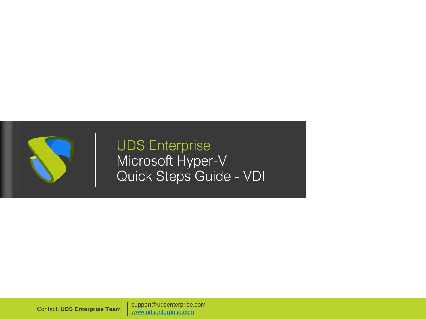

UDS Enterprise Microsoft Hyper-V Quick Steps Guide - VDI

support@udsenterprise.com Contact: **UDS Enterprise Team** [www.udsenterprise.com](http://www.udsenterprise.com/)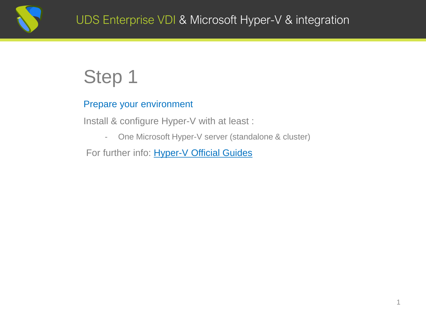

#### Prepare your environment

Install & configure Hyper-V with at least :

- One Microsoft Hyper-V server (standalone & cluster)

For further info: [Hyper-V Official](https://docs.microsoft.com/en-us/previous-versions/windows/it-pro/windows-server-2012-R2-and-2012/hh831531(v=ws.11)?redirectedfrom=MSDN) Guides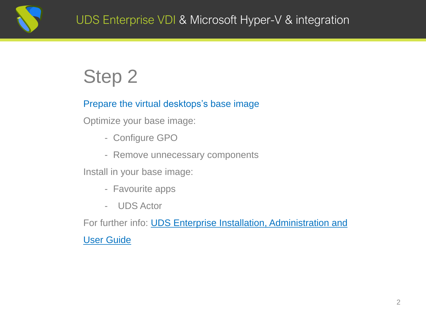

#### Prepare the virtual desktops's base image

Optimize your base image:

- Configure GPO
- Remove unnecessary components

Install in your base image:

- Favourite apps
- UDS Actor

For further info: **UDS Enterprise Installation, Administration and** User Guide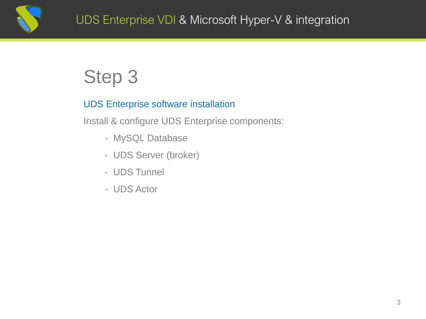

#### UDS Enterprise software installation

Install & configure UDS Enterprise components:

- MySQL Database
- UDS Server (broker)
- UDS Tunnel
- UDS Actor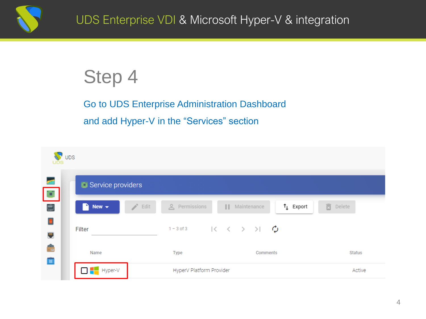

Go to UDS Enterprise Administration Dashboard and add Hyper-V in the "Services" section

| $\sqrt{\ }$ UDS<br>UDS |                                                     |                          |                                                                                                  |                 |
|------------------------|-----------------------------------------------------|--------------------------|--------------------------------------------------------------------------------------------------|-----------------|
| <b>CE</b><br>СC.       | Service providers                                   |                          |                                                                                                  |                 |
| ė                      | $\rightarrow$ Edit<br>New $\blacktriangledown$<br>n | e Permissions            | $t_{\perp}$ Export<br>Ш<br>Maintenance                                                           | <b>面</b> Delete |
| O<br>E                 | Filter                                              |                          | 1-3 of 3 $\vert \langle \vert \langle \vert \rangle \vert \rangle$ $\vert \langle \vert \rangle$ |                 |
| ÷<br>88                | Name                                                | Type                     | Comments                                                                                         | Status          |
|                        | $\Box$ Hyper-V                                      | HyperV Platform Provider | Active                                                                                           |                 |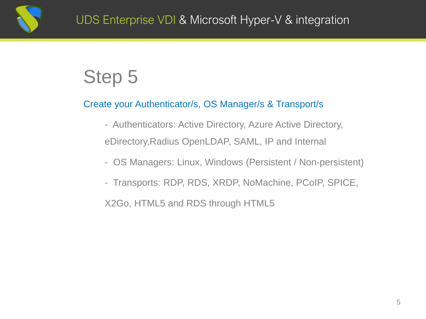

#### Create your Authenticator/s, OS Manager/s & Transport/s

- Authenticators: Active Directory, Azure Active Directory, eDirectory,Radius OpenLDAP, SAML, IP and Internal
- OS Managers: Linux, Windows (Persistent / Non-persistent)
- Transports: RDP, RDS, XRDP, NoMachine, PCoIP, SPICE, X2Go, HTML5 and RDS through HTML5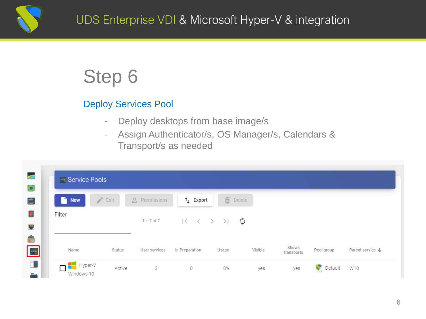

#### Deploy Services Pool

- Deploy desktops from base image/s
- Assign Authenticator/s, OS Manager/s, Calendars & Transport/s as needed

| n<br><b>Service</b><br><b>New</b> | Edit          | e Permissions  | $\uparrow$ Export                                                   | 高<br>Delete |         |                     |            |                  |
|-----------------------------------|---------------|----------------|---------------------------------------------------------------------|-------------|---------|---------------------|------------|------------------|
| Filter                            |               | $1 - 7$ of $7$ | $\begin{array}{ccccccc}\n&\times&\times&\times&\times\n\end{array}$ |             | Ø       |                     |            |                  |
| Name                              | <b>Status</b> | User services  | In Preparation                                                      | Usage       | Visible | Shows<br>transports | Pool group | Parent service ↓ |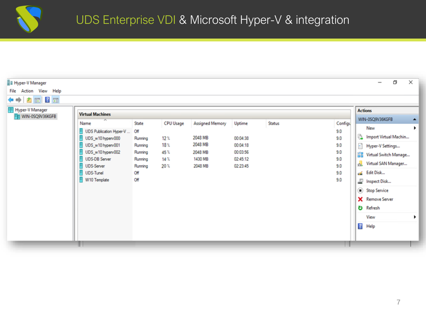| <b>F</b> Hyper-V Manager |                                                                                                                                                                                 |                                                                                   |                                                                   |                                                                        |                                                                    |        |                                                                 | O<br>$\times$<br>$\overline{\phantom{0}}$                                                                                                                                                                                                                                                        |  |
|--------------------------|---------------------------------------------------------------------------------------------------------------------------------------------------------------------------------|-----------------------------------------------------------------------------------|-------------------------------------------------------------------|------------------------------------------------------------------------|--------------------------------------------------------------------|--------|-----------------------------------------------------------------|--------------------------------------------------------------------------------------------------------------------------------------------------------------------------------------------------------------------------------------------------------------------------------------------------|--|
| File Action View Help    |                                                                                                                                                                                 |                                                                                   |                                                                   |                                                                        |                                                                    |        |                                                                 |                                                                                                                                                                                                                                                                                                  |  |
| ◆◆ 直面 2面                 |                                                                                                                                                                                 |                                                                                   |                                                                   |                                                                        |                                                                    |        |                                                                 |                                                                                                                                                                                                                                                                                                  |  |
| Hyper-V Manager          | <b>Virtual Machines</b>                                                                                                                                                         |                                                                                   |                                                                   |                                                                        |                                                                    |        |                                                                 | <b>Actions</b>                                                                                                                                                                                                                                                                                   |  |
| WIN-0SQ9V36KGFB          | Name<br>UDS Publication Hyper-V<br>UDS_w10 hyperv000<br>UDS_w10 hyperv001<br>UDS_w10 hyperv002<br><b>UDS-DB Server</b><br><b>UDS-Server</b><br><b>UDS-Tunel</b><br>W10 Template | State<br>Off<br>Running<br>Running<br>Running<br>Running<br>Running<br>Off<br>Off | <b>CPU Usage</b><br>12.7<br>18 <sub>x</sub><br>45%<br>14.7<br>20% | Assigned Memory<br>2048 MB<br>2048 MB<br>2048 MB<br>1430 MB<br>2048 MB | Uptime<br>00:04:38<br>00:04:18<br>00:03:56<br>02:45:12<br>02:23:45 | Status | Configu<br>9.0<br>9.0<br>9.0<br>9.0<br>9.0<br>9.0<br>9.0<br>9.0 | WIN-0SQ9V36KGFB<br>$\blacktriangle$<br>New<br>$\ddot{\phantom{1}}$<br>Import Virtual Machin<br>Hyper-V Settings<br>을품 Virtual Switch Manage<br>Virtual SAN Manager<br>Edit Disk<br>Inspect Disk<br>Stop Service<br><b>X</b> Remove Server<br><b>D</b> Refresh<br>View<br>▸<br>$\sqrt{2}$<br>Help |  |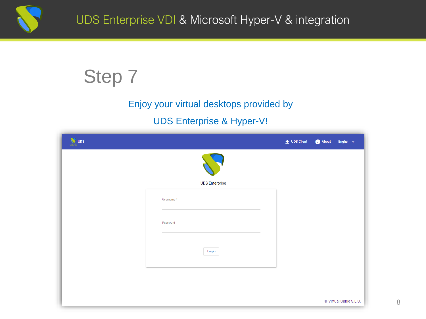

### Enjoy your virtual desktops provided by

#### UDS Enterprise & Hyper-V!

| <b>W</b> UDS |                       | $\frac{1}{2}$ UDS Client | About | English $\leftarrow$   |
|--------------|-----------------------|--------------------------|-------|------------------------|
|              |                       |                          |       |                        |
|              | <b>UDS Enterprise</b> |                          |       |                        |
|              | Username*             |                          |       |                        |
|              | Password              |                          |       |                        |
|              | Login                 |                          |       |                        |
|              |                       |                          |       |                        |
|              |                       |                          |       |                        |
|              |                       |                          |       | © Virtual Cable S.L.U. |